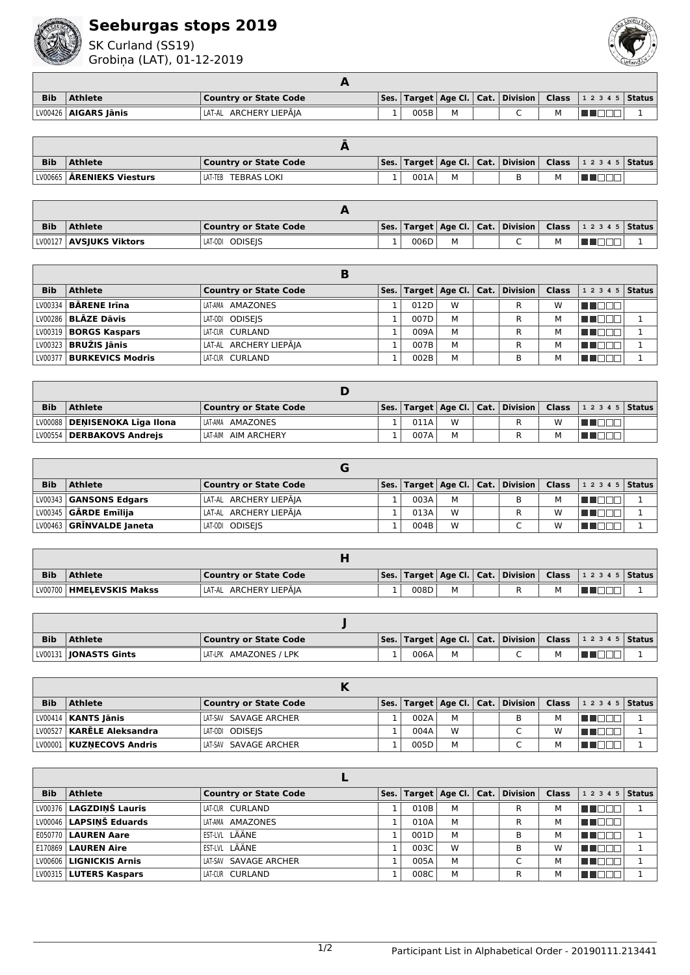

## **Seeburgas stops 2019**

SK Curland (SS19) Grobiņa (LAT), 01-12-2019



| <b>Bib</b> | <b>Athlete</b>         | <b>Country or State Code</b> |      |  |  | Ses.   Target   Age Cl.   Cat.   Division   Class   1 2 3 4 5   Status |  |
|------------|------------------------|------------------------------|------|--|--|------------------------------------------------------------------------|--|
|            | LV00426   AIGARS Jānis | LAT-AL ARCHERY LIEPĀJA       | 005B |  |  |                                                                        |  |

| <b>Bib</b> | Athlete                            | Country or State Code  |                 |      |  |   | $\mid$ Ses.   Target   Age Cl.   Cat.   Division   Class   1 2 3 4 5   Status |  |
|------------|------------------------------------|------------------------|-----------------|------|--|---|-------------------------------------------------------------------------------|--|
|            | LV00665   <b>ĀRENIEKS Viesturs</b> | TEBRAS LOKI<br>LAT-TEB | <u>. на стр</u> | 001A |  | м |                                                                               |  |

| <b>Bib</b> | <b>Athlete</b>            | Country or State Code |      |   |  |   | Ses.   Target   Age Cl.   Cat.   Division   Class   1 2 3 4 5   Status |  |
|------------|---------------------------|-----------------------|------|---|--|---|------------------------------------------------------------------------|--|
|            | LV00127   AVSJUKS Viktors | LAT-ODI ODISEIS       | 006D | M |  | м |                                                                        |  |

| <b>Bib</b> | <b>Athlete</b>              | <b>Country or State Code</b> |      |   | Ses.   Target   Age Cl.   Cat.   Division | <b>Class</b> | $12345$ Status |  |
|------------|-----------------------------|------------------------------|------|---|-------------------------------------------|--------------|----------------|--|
|            | LV00334 <b>BARENE Irīna</b> | LAT-AMA AMAZONES             | 012D | W |                                           | W            | TEEL           |  |
|            | LV00286 BLĀZE Dāvis         | LAT-ODI ODISEIS              | 007D | м |                                           | м            |                |  |
|            | LV00319   BORGS Kaspars     | LAT-CUR CURLAND              | 009A | м |                                           | м            |                |  |
|            | LV00323   BRUŽIS Jānis      | LAT-AL ARCHERY LIEPĀJA       | 007B | м |                                           | м            | 1 O            |  |
|            | LV00377   BURKEVICS Modris  | LAT-CUR CURLAND              | 002B | M | B                                         | м            |                |  |

| <b>Bib</b> | <b>Athlete</b>                  | <b>Country or State Code</b> |      |   |  |   | $\mid$ Ses. $\mid$ Target $\mid$ Age Cl. $\mid$ Cat. $\mid$ Division $\mid$ Class $\mid$ 1 2 3 4 5 $\mid$ Status $\mid$ |  |
|------------|---------------------------------|------------------------------|------|---|--|---|-------------------------------------------------------------------------------------------------------------------------|--|
|            | LV00088   DENISENOKA Līga Ilona | LAT-AMA AMAZONES             | 011A | W |  | W |                                                                                                                         |  |
|            | LV00554   DERBAKOVS Andrejs     | LAT-AIM AIM ARCHERY          | 007A | М |  |   |                                                                                                                         |  |

| <b>Bib</b> | <b>Athlete</b>             | Country or State Code   |      |   |  |   | Ses.   Target   Age Cl.   Cat.   Division   Class   1 2 3 4 5   Status |  |
|------------|----------------------------|-------------------------|------|---|--|---|------------------------------------------------------------------------|--|
|            | LV00343   GANSONS Edgars   | LAT-AL ARCHERY LIEPĀJA  | 003A | М |  |   |                                                                        |  |
|            | $LV00345$ GARDE Emilija    | ˈLAT-AL ARCHERY LIEPĀJA | 013A | W |  | W |                                                                        |  |
|            | LV00463   GRINVALDE Janeta | LAT-ODI ODISEIS         | 004B | W |  | W |                                                                        |  |

| <b>Bib</b> | <b>Athlete</b>             | Country or State Code  |      |   |  | $\vert$ Ses.   Target   Age Cl.   Cat.   Division   Class   1 2 3 4 5   Status |  |
|------------|----------------------------|------------------------|------|---|--|--------------------------------------------------------------------------------|--|
|            | LV00700   HMELEVSKIS Makss | LAT-AL ARCHERY LIEPĀIA | 008D | М |  |                                                                                |  |

| <b>Bib</b> | <b>Athlete</b>                 | <b>Country or State Code</b> |      |   |  |   | Ses.   Target   Age Cl.   Cat.   Division   Class   1 2 3 4 5   Status |  |
|------------|--------------------------------|------------------------------|------|---|--|---|------------------------------------------------------------------------|--|
|            | LV00131   <b>JONASTS Gints</b> | LAT-LPK AMAZONES / LPK       | 006A | М |  | м |                                                                        |  |

| <b>Bib</b> | Athlete                     | Country or State Code |      |   |  |   | Ses.   Target   Age Cl.   Cat.   Division   Class   1 2 3 4 5   Status |  |
|------------|-----------------------------|-----------------------|------|---|--|---|------------------------------------------------------------------------|--|
|            | LV00414   KANTS Jānis       | LAT-SAV SAVAGE ARCHER | 002A | м |  |   |                                                                        |  |
|            | LV00527   KARĒLE Aleksandra | LAT-ODI ODISEIS       | 004A | W |  | W |                                                                        |  |
|            | LV00001   KUZNECOVS Andris  | LAT-SAV SAVAGE ARCHER | 005D | м |  |   |                                                                        |  |

| <b>Bib</b> | <b>Athlete</b>               | <b>Country or State Code</b> | Ses. |      | Target   Age Cl.   Cat. | <b>Division</b> | <b>Class</b> | 1 2 3 4 5   Status |  |
|------------|------------------------------|------------------------------|------|------|-------------------------|-----------------|--------------|--------------------|--|
|            | LV00376 LAGZDINŠ Lauris      | LAT-CUR CURLAND              |      | 010B | M                       | R               | м            |                    |  |
|            | LV00046 LAPSINŠ Eduards      | LAT-AMA AMAZONES             |      | 010A | М                       | R               | м            |                    |  |
|            | <b>E050770   LAUREN Aare</b> | EST-LVL LÄÄNE                |      | 001D | М                       | В               | м            |                    |  |
|            | $E170869$ LAUREN Aire        | EST-LVL LÄÄNE                |      | 003C | W                       | В               | w            |                    |  |
|            | LV00606   LIGNICKIS Arnis    | LAT-SAV SAVAGE ARCHER        |      | 005A | М                       | $\sqrt{2}$      | М            |                    |  |
|            | LV00315   LUTERS Kaspars     | LAT-CUR CURLAND              |      | 008C | М                       | R               | м            |                    |  |